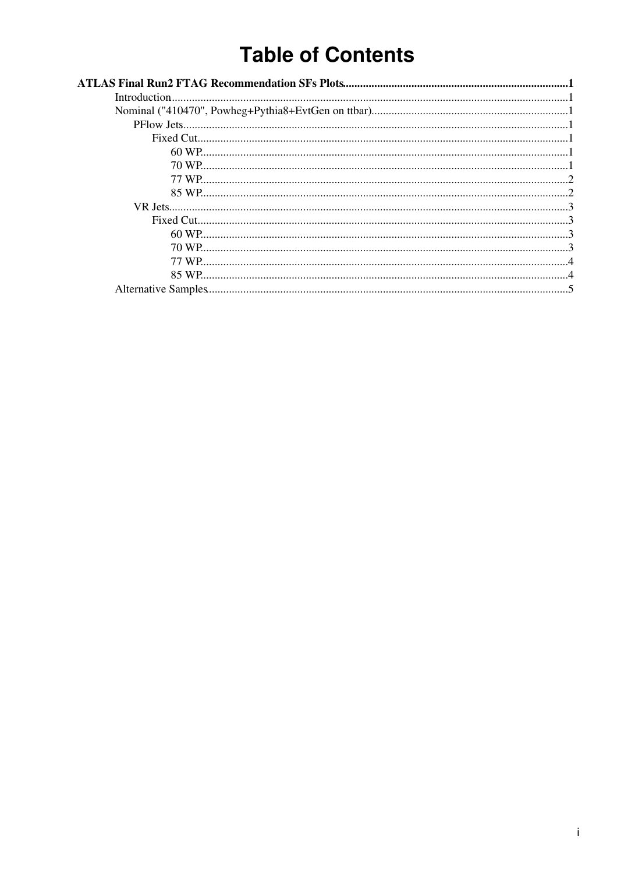# **Table of Contents**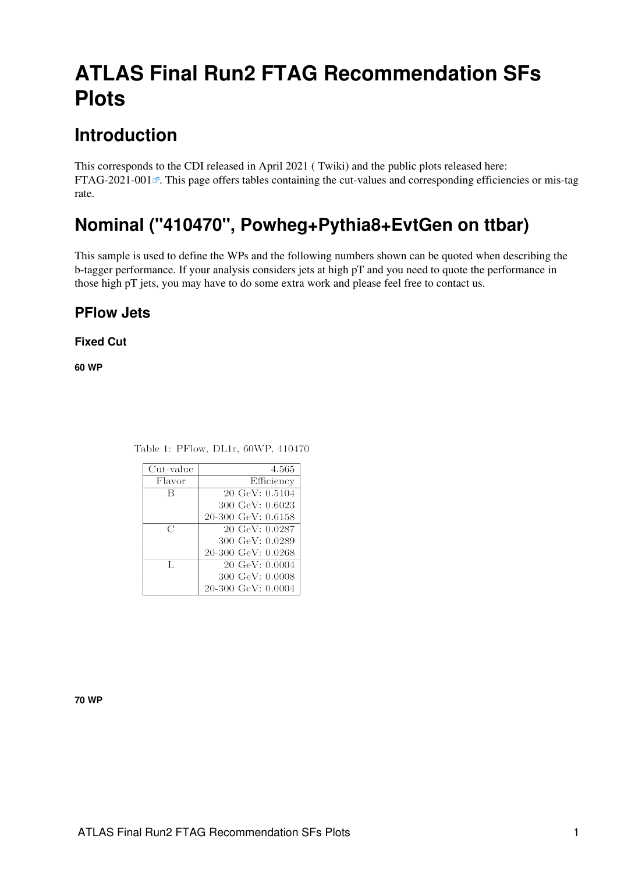# <span id="page-1-0"></span>**ATLAS Final Run2 FTAG Recommendation SFs Plots**

# <span id="page-1-1"></span>**Introduction**

This corresponds to the CDI released in April 2021 ( [Twiki\)](https://twiki.cern.ch/twiki/bin/view/AtlasProtected/BTagCalibrationRecommendationsRelease21#Recommendation_March_2020) and the public plots released here: [FTAG-2021-001](http://atlas.web.cern.ch/Atlas/GROUPS/PHYSICS/PLOTS/FTAG-2021-001/) $\mathbb{R}$ . This page offers tables containing the cut-values and corresponding efficiencies or mis-tag rate.

# <span id="page-1-2"></span>**Nominal ("410470", Powheg+Pythia8+EvtGen on ttbar)**

This sample is used to define the WPs and the following numbers shown can be quoted when describing the b-tagger performance. If your analysis considers jets at high pT and you need to quote the performance in those high pT jets, you may have to do some extra work and please feel free to contact us.

## <span id="page-1-3"></span>**PFlow Jets**

### <span id="page-1-4"></span>**Fixed Cut**

<span id="page-1-5"></span>**60 WP**

| Cut-value | 4.565                     |
|-----------|---------------------------|
| Flavor    | Efficiency                |
| B         | $20 \text{ GeV}$ : 0.5104 |
|           | 300 GeV: 0.6023           |
|           | $20-300$ GeV: $0.6158$    |
| C         | 20 GeV: 0.0287            |
|           | 300 GeV: 0.0289           |
|           | $20-300$ GeV: $0.0268$    |
| T.        | $20 \text{ GeV}$ : 0.0004 |
|           | 300 GeV: 0.0008           |
|           | $20-300$ GeV: $0.0004$    |

Table 1: PFlow, DL1r, 60WP, 410470

#### <span id="page-1-6"></span>**70 WP**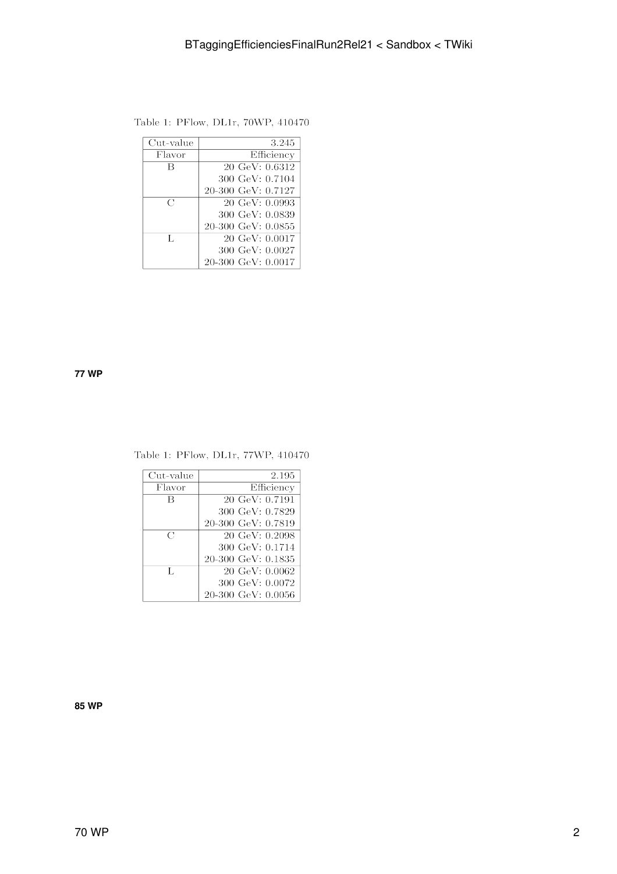| Table 1: PFlow, DL1r, 70WP, 410470 |  |
|------------------------------------|--|
|------------------------------------|--|

| Cut-value     | 3.245                     |
|---------------|---------------------------|
| Flavor        | Efficiency                |
| B             | $20 \text{ GeV}$ : 0.6312 |
|               | 300 GeV: 0.7104           |
|               | 20-300 GeV: 0.7127        |
| $\mathcal{C}$ | $20 \text{ GeV}$ : 0.0993 |
|               | 300 GeV: 0.0839           |
|               | 20-300 GeV: 0.0855        |
| Τ.            | $20 \text{ GeV}$ : 0.0017 |
|               | 300 GeV: 0.0027           |
|               | 20-300 GeV: 0.0017        |

#### <span id="page-2-0"></span>**77 WP**

### Table 1: PFlow, DL1r, 77WP, 410470

| Cut-value      | 2.195                     |
|----------------|---------------------------|
| Flavor         | Efficiency                |
| B              | $20 \text{ GeV}$ : 0.7191 |
|                | 300 GeV: 0.7829           |
|                | 20-300 GeV: 0.7819        |
| C              | 20 GeV: 0.2098            |
|                | 300 GeV: 0.1714           |
|                | $20-300$ GeV: $0.1835$    |
| $\mathbf{T}$ . | $20 \text{ GeV}$ : 0.0062 |
|                | 300 GeV: 0.0072           |
|                | $20-300$ GeV: $0.0056$    |

#### <span id="page-2-1"></span>**85 WP**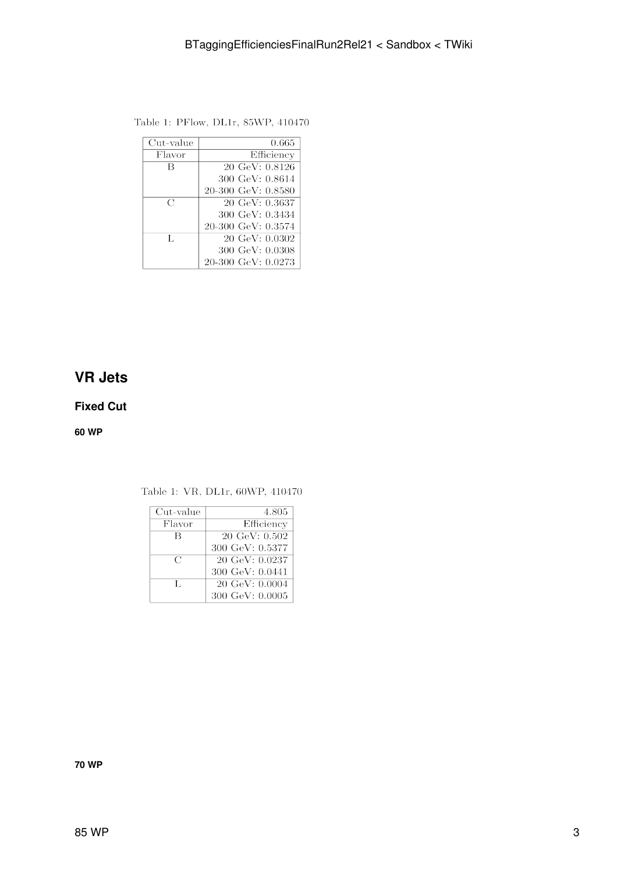| Cut-value     | 0.665                     |
|---------------|---------------------------|
| Flavor        | Efficiency                |
| B             | 20 GeV: 0.8126            |
|               | 300 GeV: 0.8614           |
|               | 20-300 GeV: 0.8580        |
| $\mathcal{C}$ | $20 \text{ GeV}$ : 0.3637 |
|               | 300 GeV: 0.3434           |
|               | 20-300 GeV: 0.3574        |
| Τ.            | $20 \text{ GeV}$ : 0.0302 |
|               | 300 GeV: 0.0308           |
|               | $20-300$ GeV: $0.0273$    |

Table 1: PFlow, DL1r, 85WP, 410470

## <span id="page-3-0"></span>**VR Jets**

### <span id="page-3-1"></span>**Fixed Cut**

<span id="page-3-2"></span>**60 WP**

| Cut-value | 4.805                     |
|-----------|---------------------------|
| Flavor    | Efficiency                |
| R         | $20 \text{ GeV}$ : 0.502  |
|           | 300 GeV: 0.5377           |
| C         | $20 \text{ GeV}$ : 0.0237 |
|           | 300 GeV: 0.0441           |
| Τ.        | $20 \text{ GeV}$ : 0.0004 |
|           | 300 GeV: 0.0005           |

Table 1: VR, DL1r, 60WP, 410470

<span id="page-3-3"></span>**70 WP**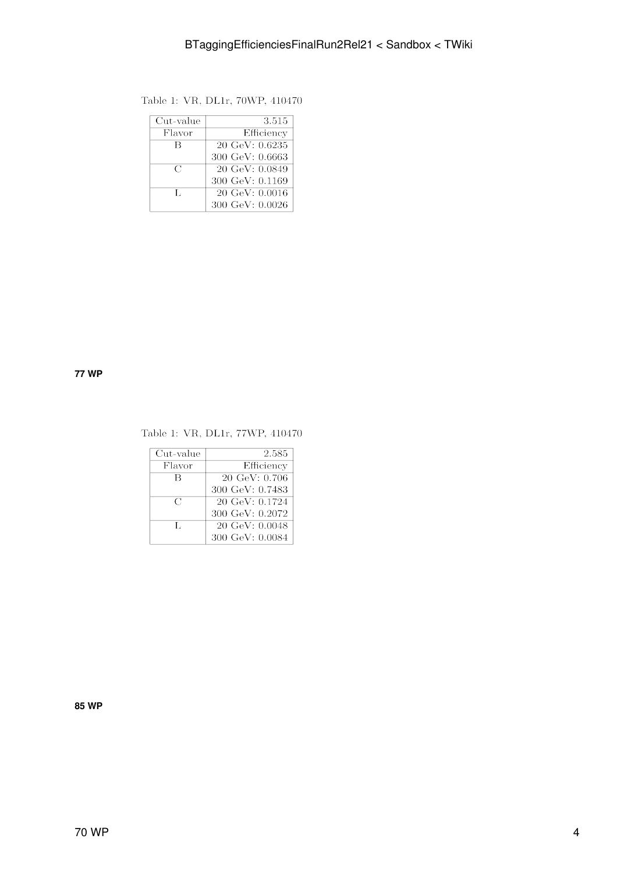| Cut-value      | 3.515                      |
|----------------|----------------------------|
| Flavor         | Efficiency                 |
| В              | $20 \text{ GeV}$ : 0.6235  |
|                | $300 \text{ GeV}$ : 0.6663 |
| $\mathcal{C}$  | $20 \text{ GeV}$ : 0.0849  |
|                | 300 GeV: 0.1169            |
| $\mathbf{T}$ . | $20 \text{ GeV}$ : 0.0016  |
|                | 300 GeV: 0.0026            |

### Table 1: VR, DL1r, 70WP, 410470

#### <span id="page-4-0"></span>**77 WP**

### Table 1: VR, DL1r, 77WP, 410470

| Cut-value     | 2.585                     |
|---------------|---------------------------|
| Flavor        | Efficiency                |
| R             | $20 \text{ GeV}$ : 0.706  |
|               | 300 GeV: 0.7483           |
| $\mathcal{C}$ | $20 \text{ GeV}$ : 0.1724 |
|               | 300 GeV: 0.2072           |
| Τ.            | $20 \text{ GeV}$ : 0.0048 |
|               | 300 GeV: 0.0084           |

<span id="page-4-1"></span>**85 WP**